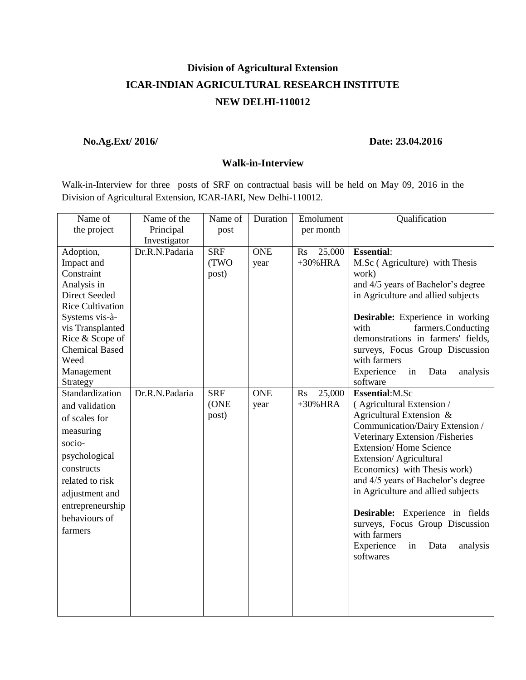# **Division of Agricultural Extension ICAR-INDIAN AGRICULTURAL RESEARCH INSTITUTE NEW DELHI-110012**

## **No.Ag.Ext/ 2016/ Date: 23.04.2016**

## **Walk-in-Interview**

Walk-in-Interview for three posts of SRF on contractual basis will be held on May 09, 2016 in the Division of Agricultural Extension, ICAR-IARI, New Delhi-110012.

| Name of                 | Name of the    | Name of    | Duration   | Emolument                | Qualification                                     |
|-------------------------|----------------|------------|------------|--------------------------|---------------------------------------------------|
| the project             | Principal      | post       |            | per month                |                                                   |
|                         | Investigator   |            |            |                          |                                                   |
| Adoption,               | Dr.R.N.Padaria | <b>SRF</b> | <b>ONE</b> | 25,000<br>$\mathbf{R}$ s | <b>Essential:</b>                                 |
| Impact and              |                | (TWO)      | year       | $+30\%$ HRA              | M.Sc (Agriculture) with Thesis                    |
| Constraint              |                | post)      |            |                          | work)                                             |
| Analysis in             |                |            |            |                          | and 4/5 years of Bachelor's degree                |
| <b>Direct Seeded</b>    |                |            |            |                          | in Agriculture and allied subjects                |
| <b>Rice Cultivation</b> |                |            |            |                          |                                                   |
| Systems vis-à-          |                |            |            |                          | <b>Desirable:</b> Experience in working           |
| vis Transplanted        |                |            |            |                          | with<br>farmers.Conducting                        |
| Rice & Scope of         |                |            |            |                          | demonstrations in farmers' fields,                |
| <b>Chemical Based</b>   |                |            |            |                          | surveys, Focus Group Discussion                   |
| Weed                    |                |            |            |                          | with farmers                                      |
| Management              |                |            |            |                          | Experience<br>in<br>Data<br>analysis              |
| Strategy                |                |            |            |                          | software                                          |
| Standardization         | Dr.R.N.Padaria | <b>SRF</b> | <b>ONE</b> | 25,000<br>R <sub>S</sub> | Essential:M.Sc                                    |
| and validation          |                | (ONE       | year       | $+30\%$ HRA              | (Agricultural Extension /                         |
| of scales for           |                | post)      |            |                          | Agricultural Extension &                          |
| measuring               |                |            |            |                          | Communication/Dairy Extension /                   |
| socio-                  |                |            |            |                          | Veterinary Extension /Fisheries                   |
| psychological           |                |            |            |                          | <b>Extension/Home Science</b>                     |
|                         |                |            |            |                          | Extension/Agricultural                            |
| constructs              |                |            |            |                          | Economics) with Thesis work)                      |
| related to risk         |                |            |            |                          | and 4/5 years of Bachelor's degree                |
| adjustment and          |                |            |            |                          | in Agriculture and allied subjects                |
| entrepreneurship        |                |            |            |                          |                                                   |
| behaviours of           |                |            |            |                          | Desirable: Experience in fields                   |
| farmers                 |                |            |            |                          | surveys, Focus Group Discussion<br>with farmers   |
|                         |                |            |            |                          |                                                   |
|                         |                |            |            |                          | Experience<br>in<br>analysis<br>Data<br>softwares |
|                         |                |            |            |                          |                                                   |
|                         |                |            |            |                          |                                                   |
|                         |                |            |            |                          |                                                   |
|                         |                |            |            |                          |                                                   |
|                         |                |            |            |                          |                                                   |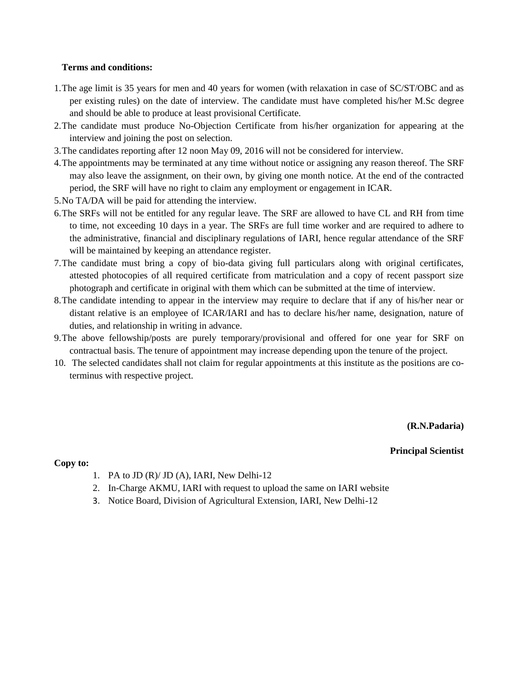#### **Terms and conditions:**

- 1.The age limit is 35 years for men and 40 years for women (with relaxation in case of SC/ST/OBC and as per existing rules) on the date of interview. The candidate must have completed his/her M.Sc degree and should be able to produce at least provisional Certificate.
- 2.The candidate must produce No-Objection Certificate from his/her organization for appearing at the interview and joining the post on selection.
- 3.The candidates reporting after 12 noon May 09, 2016 will not be considered for interview.
- 4.The appointments may be terminated at any time without notice or assigning any reason thereof. The SRF may also leave the assignment, on their own, by giving one month notice. At the end of the contracted period, the SRF will have no right to claim any employment or engagement in ICAR.
- 5.No TA/DA will be paid for attending the interview.
- 6.The SRFs will not be entitled for any regular leave. The SRF are allowed to have CL and RH from time to time, not exceeding 10 days in a year. The SRFs are full time worker and are required to adhere to the administrative, financial and disciplinary regulations of IARI, hence regular attendance of the SRF will be maintained by keeping an attendance register.
- 7.The candidate must bring a copy of bio-data giving full particulars along with original certificates, attested photocopies of all required certificate from matriculation and a copy of recent passport size photograph and certificate in original with them which can be submitted at the time of interview.
- 8.The candidate intending to appear in the interview may require to declare that if any of his/her near or distant relative is an employee of ICAR/IARI and has to declare his/her name, designation, nature of duties, and relationship in writing in advance.
- 9.The above fellowship/posts are purely temporary/provisional and offered for one year for SRF on contractual basis. The tenure of appointment may increase depending upon the tenure of the project.
- 10. The selected candidates shall not claim for regular appointments at this institute as the positions are coterminus with respective project.

**(R.N.Padaria)**

### **Principal Scientist**

### **Copy to:**

- 1. PA to JD (R)/ JD (A), IARI, New Delhi-12
- 2. In-Charge AKMU, IARI with request to upload the same on IARI website
- 3. Notice Board, Division of Agricultural Extension, IARI, New Delhi-12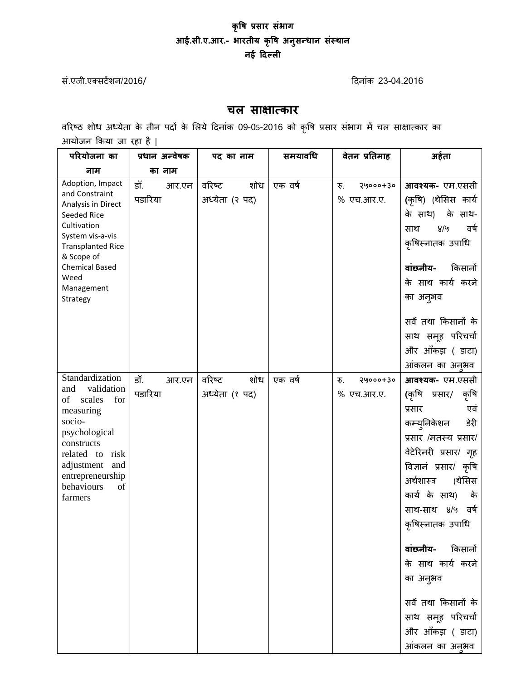# **कृषष प्रसार संभाग आई.सी.ए.आर.- भारतीय कृषष अनुसन्धान संस्थान नई ददल्ऱी**

सं.एजी.एक्सटेंशन/2016/ दिनांक 23-04.2016

## **चऱ साऺात्कार**

वरिष्ठ शोध अध्येता के तीन पदों के लिये दिनांक 09-05-2016 को कृषि प्रसार संभाग में चल साक्षात्कार का आयोजन किया जा रहा है |

| परियोजना का                                                                                                                                                                                                     | प्रधान अन्वेषक          | पद का नाम                       | समयावधि | वेतन प्रतिमाह                 | अर्हता                                                                                                                                                                                                                                                                                                                                                                                                     |
|-----------------------------------------------------------------------------------------------------------------------------------------------------------------------------------------------------------------|-------------------------|---------------------------------|---------|-------------------------------|------------------------------------------------------------------------------------------------------------------------------------------------------------------------------------------------------------------------------------------------------------------------------------------------------------------------------------------------------------------------------------------------------------|
| नाम                                                                                                                                                                                                             | का नाम                  |                                 |         |                               |                                                                                                                                                                                                                                                                                                                                                                                                            |
| Adoption, Impact<br>and Constraint<br>Analysis in Direct<br>Seeded Rice<br>Cultivation<br>System vis-a-vis<br><b>Transplanted Rice</b><br>& Scope of<br><b>Chemical Based</b><br>Weed<br>Management<br>Strategy | डॉ.<br>आर.एन<br>पडारिया | वरिष्ट<br>शोध<br>अध्येता (२ पद) | एक वर्ष | २५०००+३०<br>रु.<br>% एच.आर.ए. | आवश्यक- एम.एससी<br>(कृषि) (थेसिस कार्य<br>के साथ) के साथ-<br>8/9<br>वर्ष<br>साथ<br>कृषिस्नातक उपाधि<br>वांछनीय-<br>किसानों<br>के साथ कार्य करने<br>का अनुभव<br>सर्वे तथा किसानों के<br>साथ समूह परिचर्चा                                                                                                                                                                                                   |
|                                                                                                                                                                                                                 |                         |                                 |         |                               | और आँकड़ा ( डाटा)<br>आंकलन का अनूभव                                                                                                                                                                                                                                                                                                                                                                        |
| Standardization<br>validation<br>and<br>of<br>scales<br>for<br>measuring<br>socio-<br>psychological<br>constructs<br>related to risk<br>adjustment and<br>entrepreneurship<br>behaviours<br>of<br>farmers       | डॉ.<br>आर.एन<br>पडारिया | वरिष्ट<br>शोध<br>अध्येता (१ पद) | एक वर्ष | 54000+30<br>रु.<br>% एच.आर.ए. | <b>आवश्यक-</b> एम.एससी<br>(कृषि प्रसार/<br>कृषि<br>प्रसार<br>एवं<br>कम्युनिकेशन<br>डेरी<br>प्रसार /मतस्य प्रसार/<br>वेटेरिनरी प्रसार/ गृह<br>विज्ञानं प्रसार/ कृषि<br>अर्थशास्त्र<br>(थेसिस<br>कार्य के साथ)<br>के<br>साथ-साथ ४/५ वर्ष<br>कृषिस्नातक उपाधि<br><b>वांछनीय-</b> किसानों<br>के साथ कार्य करने<br>का अनुभव<br>सर्वे तथा किसानों के<br>साथ समूह परिचर्चा<br>और आँकड़ा ( डाटा)<br>आंकलन का अन्औव |